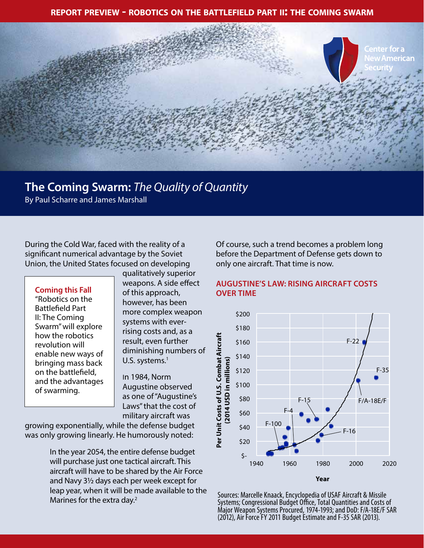**report preview - robotics on the battlefield part ii: the coming swarm**



# **The Coming Swarm:** *The Quality of Quantity*

By Paul Scharre and James Marshall

During the Cold War, faced with the reality of a significant numerical advantage by the Soviet Union, the United States focused on developing

### **Coming this Fall**

"Robotics on the Battlefield Part II: The Coming Swarm" will explore how the robotics revolution will enable new ways of bringing mass back on the battlefield, and the advantages of swarming.

qualitatively superior weapons. A side effect of this approach, however, has been more complex weapon systems with everrising costs and, as a result, even further diminishing numbers of U.S. systems. $<sup>1</sup>$ </sup>

In 1984, Norm Augustine observed as one of "Augustine's Laws" that the cost of military aircraft was

growing exponentially, while the defense budget was only growing linearly. He humorously noted:

> In the year 2054, the entire defense budget will purchase just one tactical aircraft. This aircraft will have to be shared by the Air Force and Navy 3½ days each per week except for leap year, when it will be made available to the Marines for the extra day.<sup>2</sup>

Of course, such a trend becomes a problem long before the Department of Defense gets down to only one aircraft. That time is now.

### **AUGUSTINE'S LAW: RISING AIRCRAFT COSTS OVER TIME**



Sources: Marcelle Knaack, Encyclopedia of USAF Aircraft & Missile Systems; Congressional Budget Office, Total Quantities and Costs of Major Weapon Systems Procured, 1974-1993; and DoD: F/A-18E/F SAR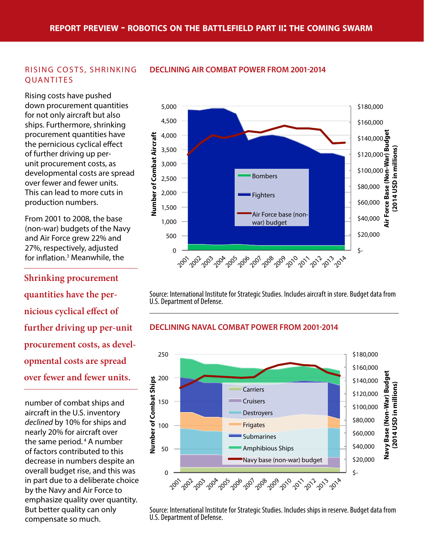### RISING COSTS, SHRINKING **OUANTITES**

Rising costs have pushed down procurement quantities for not only aircraft but also ships. Furthermore, shrinking procurement quantities have the pernicious cyclical effect of further driving up perunit procurement costs, as developmental costs are spread over fewer and fewer units. This can lead to more cuts in production numbers.

From 2001 to 2008, the base (non-war) budgets of the Navy and Air Force grew 22% and 27%, respectively, adjusted for inflation.3 Meanwhile, the

**Shrinking procurement quantities have the pernicious cyclical effect of further driving up per-unit procurement costs, as developmental costs are spread over fewer and fewer units.** 

number of combat ships and aircraft in the U.S. inventory *declined* by 10% for ships and nearly 20% for aircraft over the same period. 4 A number of factors contributed to this decrease in numbers despite an overall budget rise, and this was in part due to a deliberate choice by the Navy and Air Force to emphasize quality over quantity. But better quality can only compensate so much.



Source: International Institute for Strategic Studies. Includes aircraft in store. Budget data from U.S. Department of Defense.

## **DECLINING NAVAL COMBAT POWER FROM 2001-2014**



Source: International Institute for Strategic Studies. Includes ships in reserve. Budget data from

# **DECLINING AIR COMBAT POWER FROM 2001-2014**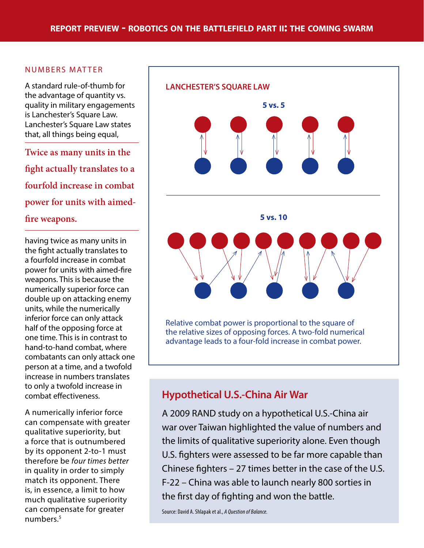## NUMBERS MATTER

A standard rule-of-thumb for the advantage of quantity vs. quality in military engagements is Lanchester's Square Law. Lanchester's Square Law states that, all things being equal,

**Twice as many units in the fight actually translates to a fourfold increase in combat power for units with aimedfire weapons.**

having twice as many units in the fight actually translates to a fourfold increase in combat power for units with aimed-fire weapons. This is because the numerically superior force can double up on attacking enemy units, while the numerically inferior force can only attack half of the opposing force at one time. This is in contrast to hand-to-hand combat, where combatants can only attack one person at a time, and a twofold increase in numbers translates to only a twofold increase in combat effectiveness.

A numerically inferior force can compensate with greater qualitative superiority, but a force that is outnumbered by its opponent 2-to-1 must therefore be *four times better* in quality in order to simply match its opponent. There is, in essence, a limit to how much qualitative superiority can compensate for greater numbers.5



# **Hypothetical U.S.-China Air War**

A 2009 RAND study on a hypothetical U.S.-China air war over Taiwan highlighted the value of numbers and the limits of qualitative superiority alone. Even though U.S. fighters were assessed to be far more capable than Chinese fighters – 27 times better in the case of the U.S. F-22 – China was able to launch nearly 800 sorties in the first day of fighting and won the battle.

Source: David A. Shlapak et al., *A Question of Balance*.